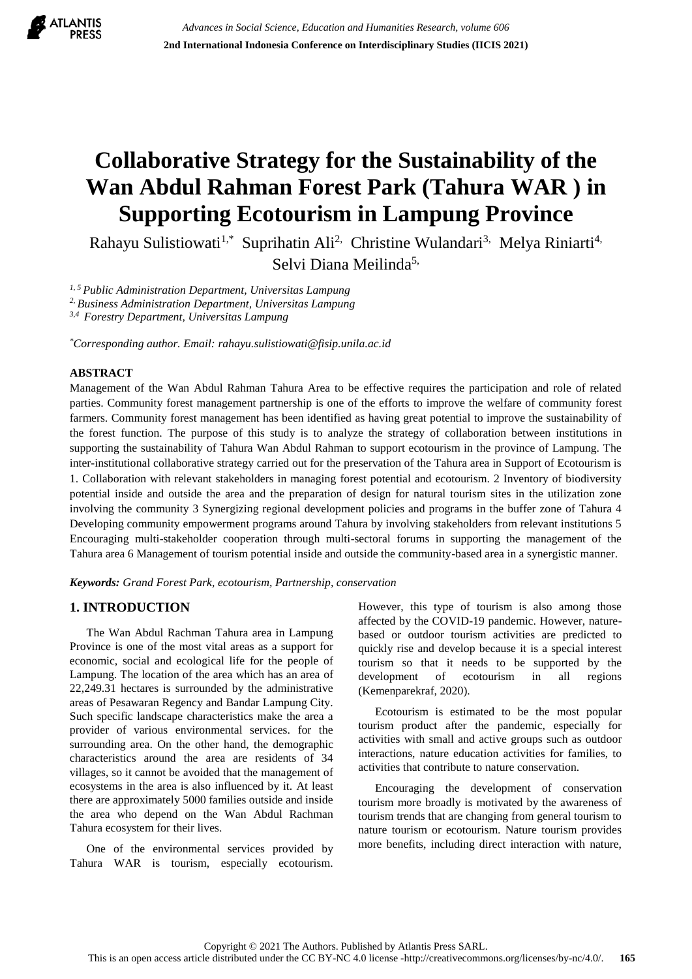

# **Collaborative Strategy for the Sustainability of the Wan Abdul Rahman Forest Park (Tahura WAR ) in Supporting Ecotourism in Lampung Province**

Rahayu Sulistiowati<sup>1,\*</sup> Suprihatin Ali<sup>2,</sup> Christine Wulandari<sup>3,</sup> Melya Riniarti<sup>4,</sup> Selvi Diana Meilinda<sup>5,</sup>

*1, 5 Public Administration Department, Universitas Lampung*

*2, Business Administration Department, Universitas Lampung*

*3,4 Forestry Department, Universitas Lampung*

*\*Corresponding author. Email: rahayu.sulistiowati@fisip.unila.ac.id*

## **ABSTRACT**

Management of the Wan Abdul Rahman Tahura Area to be effective requires the participation and role of related parties. Community forest management partnership is one of the efforts to improve the welfare of community forest farmers. Community forest management has been identified as having great potential to improve the sustainability of the forest function. The purpose of this study is to analyze the strategy of collaboration between institutions in supporting the sustainability of Tahura Wan Abdul Rahman to support ecotourism in the province of Lampung. The inter-institutional collaborative strategy carried out for the preservation of the Tahura area in Support of Ecotourism is 1. Collaboration with relevant stakeholders in managing forest potential and ecotourism. 2 Inventory of biodiversity potential inside and outside the area and the preparation of design for natural tourism sites in the utilization zone involving the community 3 Synergizing regional development policies and programs in the buffer zone of Tahura 4 Developing community empowerment programs around Tahura by involving stakeholders from relevant institutions 5 Encouraging multi-stakeholder cooperation through multi-sectoral forums in supporting the management of the Tahura area 6 Management of tourism potential inside and outside the community-based area in a synergistic manner.

*Keywords: Grand Forest Park, ecotourism, Partnership, conservation*

# **1. INTRODUCTION**

The Wan Abdul Rachman Tahura area in Lampung Province is one of the most vital areas as a support for economic, social and ecological life for the people of Lampung. The location of the area which has an area of 22,249.31 hectares is surrounded by the administrative areas of Pesawaran Regency and Bandar Lampung City. Such specific landscape characteristics make the area a provider of various environmental services. for the surrounding area. On the other hand, the demographic characteristics around the area are residents of 34 villages, so it cannot be avoided that the management of ecosystems in the area is also influenced by it. At least there are approximately 5000 families outside and inside the area who depend on the Wan Abdul Rachman Tahura ecosystem for their lives.

One of the environmental services provided by Tahura WAR is tourism, especially ecotourism. However, this type of tourism is also among those affected by the COVID-19 pandemic. However, naturebased or outdoor tourism activities are predicted to quickly rise and develop because it is a special interest tourism so that it needs to be supported by the development of ecotourism in all regions (Kemenparekraf, 2020).

Ecotourism is estimated to be the most popular tourism product after the pandemic, especially for activities with small and active groups such as outdoor interactions, nature education activities for families, to activities that contribute to nature conservation.

Encouraging the development of conservation tourism more broadly is motivated by the awareness of tourism trends that are changing from general tourism to nature tourism or ecotourism. Nature tourism provides more benefits, including direct interaction with nature,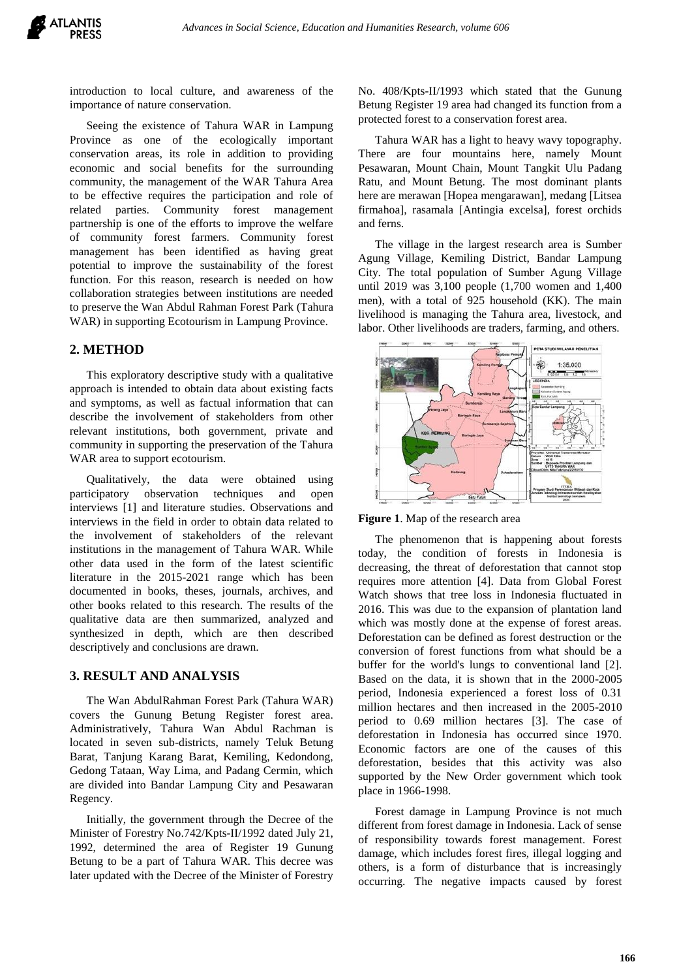introduction to local culture, and awareness of the importance of nature conservation.

Seeing the existence of Tahura WAR in Lampung Province as one of the ecologically important conservation areas, its role in addition to providing economic and social benefits for the surrounding community, the management of the WAR Tahura Area to be effective requires the participation and role of related parties. Community forest management partnership is one of the efforts to improve the welfare of community forest farmers. Community forest management has been identified as having great potential to improve the sustainability of the forest function. For this reason, research is needed on how collaboration strategies between institutions are needed to preserve the Wan Abdul Rahman Forest Park (Tahura WAR) in supporting Ecotourism in Lampung Province.

## **2. METHOD**

This exploratory descriptive study with a qualitative approach is intended to obtain data about existing facts and symptoms, as well as factual information that can describe the involvement of stakeholders from other relevant institutions, both government, private and community in supporting the preservation of the Tahura WAR area to support ecotourism.

Qualitatively, the data were obtained using participatory observation techniques and open interviews [1] and literature studies. Observations and interviews in the field in order to obtain data related to the involvement of stakeholders of the relevant institutions in the management of Tahura WAR. While other data used in the form of the latest scientific literature in the 2015-2021 range which has been documented in books, theses, journals, archives, and other books related to this research. The results of the qualitative data are then summarized, analyzed and synthesized in depth, which are then described descriptively and conclusions are drawn.

## **3. RESULT AND ANALYSIS**

The Wan AbdulRahman Forest Park (Tahura WAR) covers the Gunung Betung Register forest area. Administratively, Tahura Wan Abdul Rachman is located in seven sub-districts, namely Teluk Betung Barat, Tanjung Karang Barat, Kemiling, Kedondong, Gedong Tataan, Way Lima, and Padang Cermin, which are divided into Bandar Lampung City and Pesawaran Regency.

Initially, the government through the Decree of the Minister of Forestry No.742/Kpts-II/1992 dated July 21, 1992, determined the area of Register 19 Gunung Betung to be a part of Tahura WAR. This decree was later updated with the Decree of the Minister of Forestry No. 408/Kpts-II/1993 which stated that the Gunung Betung Register 19 area had changed its function from a protected forest to a conservation forest area.

Tahura WAR has a light to heavy wavy topography. There are four mountains here, namely Mount Pesawaran, Mount Chain, Mount Tangkit Ulu Padang Ratu, and Mount Betung. The most dominant plants here are merawan [Hopea mengarawan], medang [Litsea firmahoa], rasamala [Antingia excelsa], forest orchids and ferns.

The village in the largest research area is Sumber Agung Village, Kemiling District, Bandar Lampung City. The total population of Sumber Agung Village until 2019 was 3,100 people (1,700 women and 1,400 men), with a total of 925 household (KK). The main livelihood is managing the Tahura area, livestock, and labor. Other livelihoods are traders, farming, and others.





The phenomenon that is happening about forests today, the condition of forests in Indonesia is decreasing, the threat of deforestation that cannot stop requires more attention [4]. Data from Global Forest Watch shows that tree loss in Indonesia fluctuated in 2016. This was due to the expansion of plantation land which was mostly done at the expense of forest areas. Deforestation can be defined as forest destruction or the conversion of forest functions from what should be a buffer for the world's lungs to conventional land [2]. Based on the data, it is shown that in the 2000-2005 period, Indonesia experienced a forest loss of 0.31 million hectares and then increased in the 2005-2010 period to 0.69 million hectares [3]. The case of deforestation in Indonesia has occurred since 1970. Economic factors are one of the causes of this deforestation, besides that this activity was also supported by the New Order government which took place in 1966-1998.

Forest damage in Lampung Province is not much different from forest damage in Indonesia. Lack of sense of responsibility towards forest management. Forest damage, which includes forest fires, illegal logging and others, is a form of disturbance that is increasingly occurring. The negative impacts caused by forest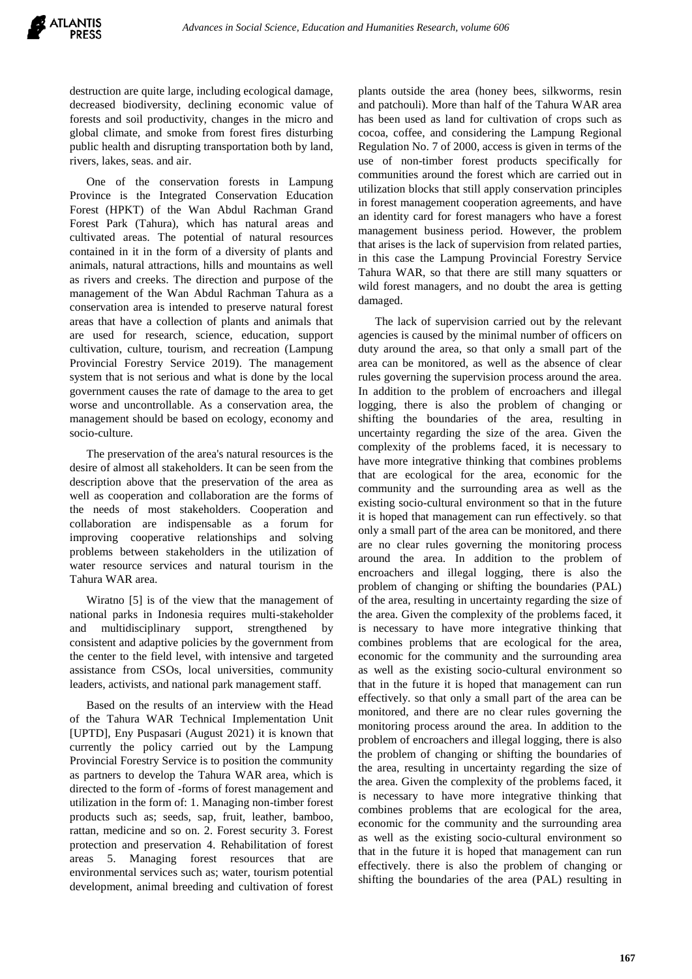destruction are quite large, including ecological damage, decreased biodiversity, declining economic value of forests and soil productivity, changes in the micro and global climate, and smoke from forest fires disturbing public health and disrupting transportation both by land, rivers, lakes, seas. and air.

One of the conservation forests in Lampung Province is the Integrated Conservation Education Forest (HPKT) of the Wan Abdul Rachman Grand Forest Park (Tahura), which has natural areas and cultivated areas. The potential of natural resources contained in it in the form of a diversity of plants and animals, natural attractions, hills and mountains as well as rivers and creeks. The direction and purpose of the management of the Wan Abdul Rachman Tahura as a conservation area is intended to preserve natural forest areas that have a collection of plants and animals that are used for research, science, education, support cultivation, culture, tourism, and recreation (Lampung Provincial Forestry Service 2019). The management system that is not serious and what is done by the local government causes the rate of damage to the area to get worse and uncontrollable. As a conservation area, the management should be based on ecology, economy and socio-culture.

The preservation of the area's natural resources is the desire of almost all stakeholders. It can be seen from the description above that the preservation of the area as well as cooperation and collaboration are the forms of the needs of most stakeholders. Cooperation and collaboration are indispensable as a forum for improving cooperative relationships and solving problems between stakeholders in the utilization of water resource services and natural tourism in the Tahura WAR area.

Wiratno [5] is of the view that the management of national parks in Indonesia requires multi-stakeholder and multidisciplinary support, strengthened by consistent and adaptive policies by the government from the center to the field level, with intensive and targeted assistance from CSOs, local universities, community leaders, activists, and national park management staff.

Based on the results of an interview with the Head of the Tahura WAR Technical Implementation Unit [UPTD], Eny Puspasari (August 2021) it is known that currently the policy carried out by the Lampung Provincial Forestry Service is to position the community as partners to develop the Tahura WAR area, which is directed to the form of -forms of forest management and utilization in the form of: 1. Managing non-timber forest products such as; seeds, sap, fruit, leather, bamboo, rattan, medicine and so on. 2. Forest security 3. Forest protection and preservation 4. Rehabilitation of forest areas 5. Managing forest resources that are environmental services such as; water, tourism potential development, animal breeding and cultivation of forest plants outside the area (honey bees, silkworms, resin and patchouli). More than half of the Tahura WAR area has been used as land for cultivation of crops such as cocoa, coffee, and considering the Lampung Regional Regulation No. 7 of 2000, access is given in terms of the use of non-timber forest products specifically for communities around the forest which are carried out in utilization blocks that still apply conservation principles in forest management cooperation agreements, and have an identity card for forest managers who have a forest management business period. However, the problem that arises is the lack of supervision from related parties, in this case the Lampung Provincial Forestry Service Tahura WAR, so that there are still many squatters or wild forest managers, and no doubt the area is getting damaged.

The lack of supervision carried out by the relevant agencies is caused by the minimal number of officers on duty around the area, so that only a small part of the area can be monitored, as well as the absence of clear rules governing the supervision process around the area. In addition to the problem of encroachers and illegal logging, there is also the problem of changing or shifting the boundaries of the area, resulting in uncertainty regarding the size of the area. Given the complexity of the problems faced, it is necessary to have more integrative thinking that combines problems that are ecological for the area, economic for the community and the surrounding area as well as the existing socio-cultural environment so that in the future it is hoped that management can run effectively. so that only a small part of the area can be monitored, and there are no clear rules governing the monitoring process around the area. In addition to the problem of encroachers and illegal logging, there is also the problem of changing or shifting the boundaries (PAL) of the area, resulting in uncertainty regarding the size of the area. Given the complexity of the problems faced, it is necessary to have more integrative thinking that combines problems that are ecological for the area, economic for the community and the surrounding area as well as the existing socio-cultural environment so that in the future it is hoped that management can run effectively. so that only a small part of the area can be monitored, and there are no clear rules governing the monitoring process around the area. In addition to the problem of encroachers and illegal logging, there is also the problem of changing or shifting the boundaries of the area, resulting in uncertainty regarding the size of the area. Given the complexity of the problems faced, it is necessary to have more integrative thinking that combines problems that are ecological for the area, economic for the community and the surrounding area as well as the existing socio-cultural environment so that in the future it is hoped that management can run effectively. there is also the problem of changing or shifting the boundaries of the area (PAL) resulting in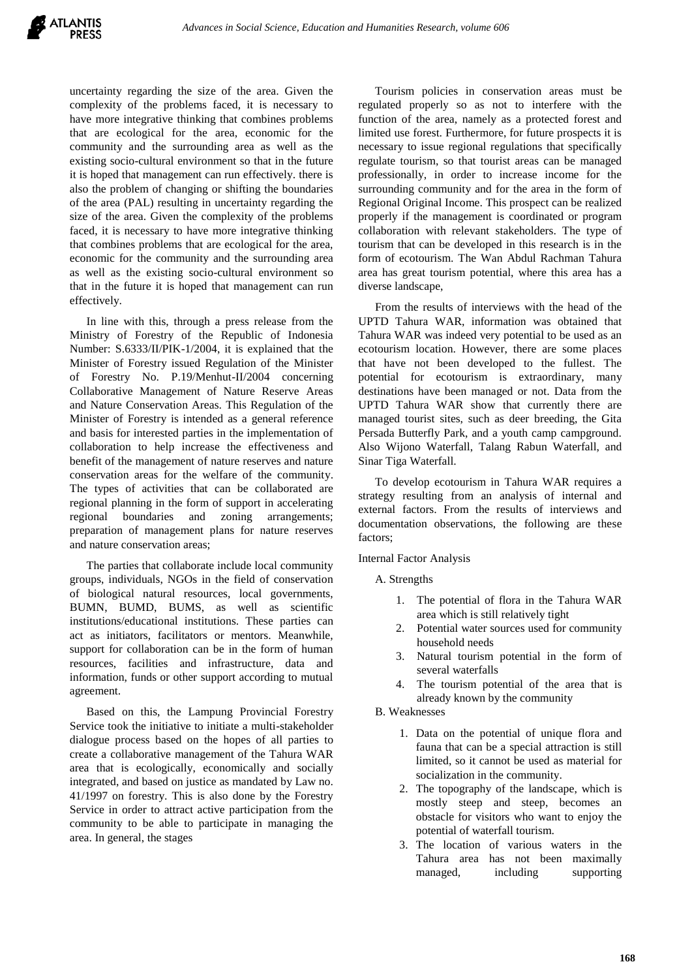

uncertainty regarding the size of the area. Given the complexity of the problems faced, it is necessary to have more integrative thinking that combines problems that are ecological for the area, economic for the community and the surrounding area as well as the existing socio-cultural environment so that in the future it is hoped that management can run effectively. there is also the problem of changing or shifting the boundaries of the area (PAL) resulting in uncertainty regarding the size of the area. Given the complexity of the problems faced, it is necessary to have more integrative thinking that combines problems that are ecological for the area, economic for the community and the surrounding area as well as the existing socio-cultural environment so that in the future it is hoped that management can run effectively.

In line with this, through a press release from the Ministry of Forestry of the Republic of Indonesia Number: S.6333/II/PIK-1/2004, it is explained that the Minister of Forestry issued Regulation of the Minister of Forestry No. P.19/Menhut-II/2004 concerning Collaborative Management of Nature Reserve Areas and Nature Conservation Areas. This Regulation of the Minister of Forestry is intended as a general reference and basis for interested parties in the implementation of collaboration to help increase the effectiveness and benefit of the management of nature reserves and nature conservation areas for the welfare of the community. The types of activities that can be collaborated are regional planning in the form of support in accelerating regional boundaries and zoning arrangements; preparation of management plans for nature reserves and nature conservation areas;

The parties that collaborate include local community groups, individuals, NGOs in the field of conservation of biological natural resources, local governments, BUMN, BUMD, BUMS, as well as scientific institutions/educational institutions. These parties can act as initiators, facilitators or mentors. Meanwhile, support for collaboration can be in the form of human resources, facilities and infrastructure, data and information, funds or other support according to mutual agreement.

Based on this, the Lampung Provincial Forestry Service took the initiative to initiate a multi-stakeholder dialogue process based on the hopes of all parties to create a collaborative management of the Tahura WAR area that is ecologically, economically and socially integrated, and based on justice as mandated by Law no. 41/1997 on forestry. This is also done by the Forestry Service in order to attract active participation from the community to be able to participate in managing the area. In general, the stages

Tourism policies in conservation areas must be regulated properly so as not to interfere with the function of the area, namely as a protected forest and limited use forest. Furthermore, for future prospects it is necessary to issue regional regulations that specifically regulate tourism, so that tourist areas can be managed professionally, in order to increase income for the surrounding community and for the area in the form of Regional Original Income. This prospect can be realized properly if the management is coordinated or program collaboration with relevant stakeholders. The type of tourism that can be developed in this research is in the form of ecotourism. The Wan Abdul Rachman Tahura area has great tourism potential, where this area has a diverse landscape,

From the results of interviews with the head of the UPTD Tahura WAR, information was obtained that Tahura WAR was indeed very potential to be used as an ecotourism location. However, there are some places that have not been developed to the fullest. The potential for ecotourism is extraordinary, many destinations have been managed or not. Data from the UPTD Tahura WAR show that currently there are managed tourist sites, such as deer breeding, the Gita Persada Butterfly Park, and a youth camp campground. Also Wijono Waterfall, Talang Rabun Waterfall, and Sinar Tiga Waterfall.

To develop ecotourism in Tahura WAR requires a strategy resulting from an analysis of internal and external factors. From the results of interviews and documentation observations, the following are these factors;

Internal Factor Analysis

A. Strengths

- 1. The potential of flora in the Tahura WAR area which is still relatively tight
- 2. Potential water sources used for community household needs
- 3. Natural tourism potential in the form of several waterfalls
- The tourism potential of the area that is already known by the community
- B. Weaknesses
	- 1. Data on the potential of unique flora and fauna that can be a special attraction is still limited, so it cannot be used as material for socialization in the community.
	- 2. The topography of the landscape, which is mostly steep and steep, becomes an obstacle for visitors who want to enjoy the potential of waterfall tourism.
	- 3. The location of various waters in the Tahura area has not been maximally managed, including supporting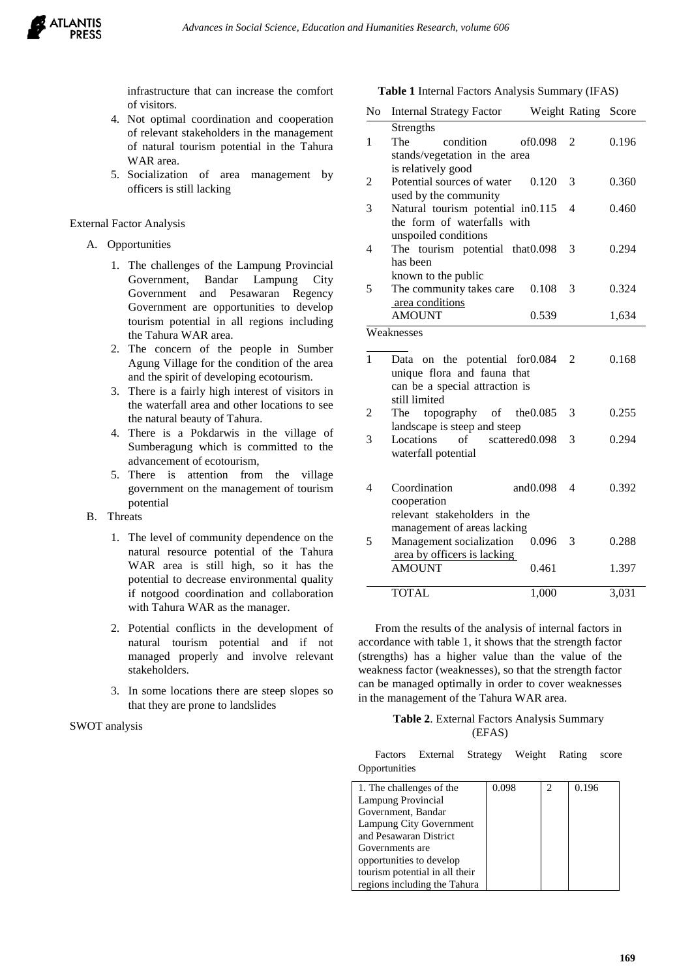

infrastructure that can increase the comfort of visitors.

- 4. Not optimal coordination and cooperation of relevant stakeholders in the management of natural tourism potential in the Tahura WAR area.
- 5. Socialization of area management by officers is still lacking

#### External Factor Analysis

#### A. Opportunities

- 1. The challenges of the Lampung Provincial Government, Bandar Lampung City Government and Pesawaran Regency Government are opportunities to develop tourism potential in all regions including the Tahura WAR area.
- 2. The concern of the people in Sumber Agung Village for the condition of the area and the spirit of developing ecotourism.
- 3. There is a fairly high interest of visitors in the waterfall area and other locations to see the natural beauty of Tahura.
- 4. There is a Pokdarwis in the village of Sumberagung which is committed to the advancement of ecotourism,
- 5. There is attention from the village government on the management of tourism potential

## B. Threats

- 1. The level of community dependence on the natural resource potential of the Tahura WAR area is still high, so it has the potential to decrease environmental quality if notgood coordination and collaboration with Tahura WAR as the manager.
- 2. Potential conflicts in the development of natural tourism potential and if not managed properly and involve relevant stakeholders.
- 3. In some locations there are steep slopes so that they are prone to landslides

#### SWOT analysis

**Table 1** Internal Factors Analysis Summary (IFAS)

| N <sub>0</sub> | <b>Internal Strategy Factor</b>               | Weight Rating       |   | Score |
|----------------|-----------------------------------------------|---------------------|---|-------|
|                | Strengths                                     |                     |   |       |
| 1              | The<br>condition                              | of <sub>0.098</sub> | 2 | 0.196 |
|                | stands/vegetation in the area                 |                     |   |       |
|                | is relatively good                            |                     |   |       |
| 2              | Potential sources of water                    | 0.120               | 3 | 0.360 |
|                | used by the community                         |                     |   |       |
| 3              | Natural tourism potential in0.115             |                     | 4 | 0.460 |
|                | the form of waterfalls with                   |                     |   |       |
|                | unspoiled conditions                          |                     |   |       |
| 4              | The tourism potential that 0.098              |                     | 3 | 0.294 |
|                | has been                                      |                     |   |       |
|                | known to the public                           |                     |   |       |
| 5              | The community takes care                      | 0.108               | 3 | 0.324 |
|                | area conditions                               |                     |   |       |
|                | <b>AMOUNT</b>                                 | 0.539               |   | 1,634 |
|                | Weaknesses                                    |                     |   |       |
|                |                                               |                     |   |       |
| $\mathbf{1}$   | Data on the potential                         | for0.084            | 2 | 0.168 |
|                | unique flora and fauna that                   |                     |   |       |
|                | can be a special attraction is                |                     |   |       |
|                | still limited                                 |                     |   |       |
| 2              | topography of<br>The                          | the 0.085           | 3 | 0.255 |
|                | landscape is steep and steep                  |                     |   |       |
| 3              | Locations<br>scattered <sub>0.098</sub><br>of |                     | 3 | 0.294 |
|                | waterfall potential                           |                     |   |       |
|                |                                               |                     |   |       |
| 4              | Coordination                                  | and $0.098$         | 4 | 0.392 |
|                | cooperation                                   |                     |   |       |
|                | relevant stakeholders in the                  |                     |   |       |
|                | management of areas lacking                   |                     |   |       |
| 5              | Management socialization                      | 0.096               | 3 | 0.288 |
|                | area by officers is lacking                   |                     |   |       |
|                | <b>AMOUNT</b>                                 | 0.461               |   | 1.397 |
|                |                                               |                     |   |       |
|                | <b>TOTAL</b>                                  | 1,000               |   | 3,031 |
|                |                                               |                     |   |       |

From the results of the analysis of internal factors in accordance with table 1, it shows that the strength factor (strengths) has a higher value than the value of the weakness factor (weaknesses), so that the strength factor can be managed optimally in order to cover weaknesses in the management of the Tahura WAR area.

#### **Table 2**. External Factors Analysis Summary (EFAS)

Factors External Strategy Weight Rating score Opportunities

| 1. The challenges of the       | 0.098 | っ | 0.196 |
|--------------------------------|-------|---|-------|
| Lampung Provincial             |       |   |       |
| Government, Bandar             |       |   |       |
| Lampung City Government        |       |   |       |
| and Pesawaran District         |       |   |       |
| Governments are                |       |   |       |
| opportunities to develop       |       |   |       |
| tourism potential in all their |       |   |       |
| regions including the Tahura   |       |   |       |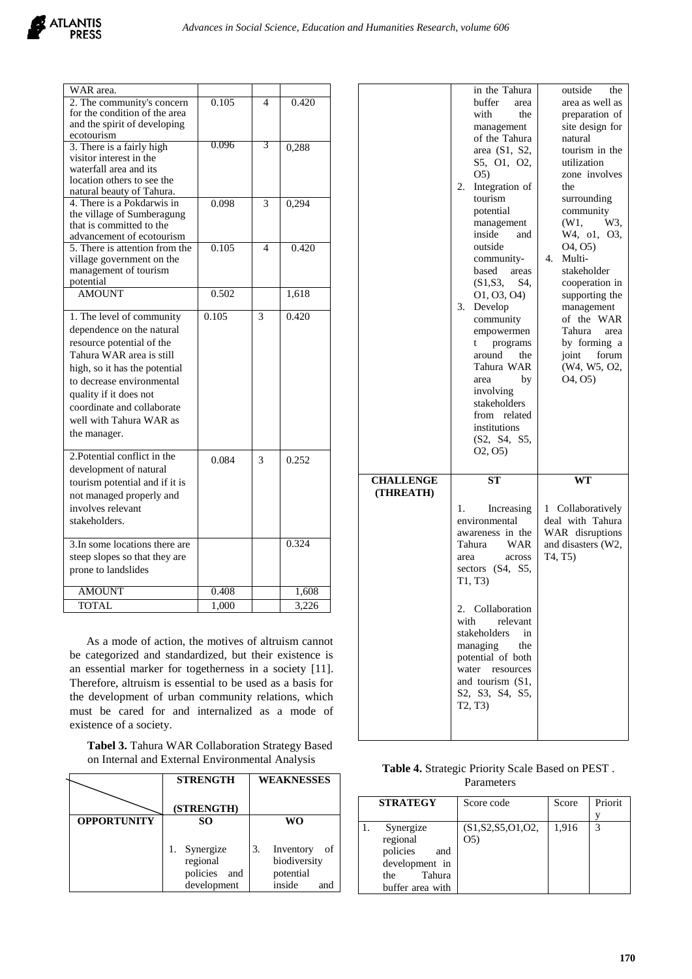

| WAR area.                                                   |       |                          |       |
|-------------------------------------------------------------|-------|--------------------------|-------|
| 2. The community's concern<br>for the condition of the area | 0.105 | $\overline{\mathcal{A}}$ | 0.420 |
| and the spirit of developing                                |       |                          |       |
| ecotourism                                                  |       |                          |       |
| 3. There is a fairly high                                   | 0.096 | 3                        | 0,288 |
| visitor interest in the                                     |       |                          |       |
| waterfall area and its                                      |       |                          |       |
| location others to see the                                  |       |                          |       |
| natural beauty of Tahura.                                   |       |                          |       |
| 4. There is a Pokdarwis in                                  | 0.098 | 3                        | 0,294 |
| the village of Sumberagung                                  |       |                          |       |
| that is committed to the                                    |       |                          |       |
| advancement of ecotourism                                   |       |                          |       |
| 5. There is attention from the                              | 0.105 | 4                        | 0.420 |
| village government on the                                   |       |                          |       |
| management of tourism                                       |       |                          |       |
| potential                                                   |       |                          |       |
| <b>AMOUNT</b>                                               | 0.502 |                          | 1,618 |
| 1. The level of community                                   | 0.105 | 3                        | 0.420 |
| dependence on the natural                                   |       |                          |       |
| resource potential of the                                   |       |                          |       |
| Tahura WAR area is still                                    |       |                          |       |
|                                                             |       |                          |       |
| high, so it has the potential                               |       |                          |       |
| to decrease environmental                                   |       |                          |       |
| quality if it does not                                      |       |                          |       |
| coordinate and collaborate                                  |       |                          |       |
| well with Tahura WAR as                                     |       |                          |       |
| the manager.                                                |       |                          |       |
|                                                             |       |                          |       |
| 2. Potential conflict in the                                | 0.084 | 3                        | 0.252 |
| development of natural                                      |       |                          |       |
| tourism potential and if it is                              |       |                          |       |
| not managed properly and                                    |       |                          |       |
| involves relevant                                           |       |                          |       |
| stakeholders.                                               |       |                          |       |
|                                                             |       |                          |       |
| 3. In some locations there are                              |       |                          | 0.324 |
| steep slopes so that they are                               |       |                          |       |
| prone to landslides                                         |       |                          |       |
|                                                             |       |                          |       |
| <b>AMOUNT</b>                                               | 0.408 |                          | 1,608 |
| <b>TOTAL</b>                                                | 1.000 |                          | 3.226 |

As a mode of action, the motives of altruism cannot be categorized and standardized, but their existence is an essential marker for togetherness in a society [11]. Therefore, altruism is essential to be used as a basis for the development of urban community relations, which must be cared for and internalized as a mode of existence of a society.

| Tabel 3. Tahura WAR Collaboration Strategy Based |
|--------------------------------------------------|
| on Internal and External Environmental Analysis  |

|                    | <b>STRENGTH</b>                          | <b>WEAKNESSES</b>                                  |  |
|--------------------|------------------------------------------|----------------------------------------------------|--|
|                    | (STRENGTH)                               |                                                    |  |
| <b>OPPORTUNITY</b> | SO.                                      | WO                                                 |  |
|                    | Synergize<br>regional<br>policies<br>and | 3.<br>Inventory<br>of<br>biodiversity<br>potential |  |
|                    | development                              | inside<br>and                                      |  |

|                               | in the Tahura<br>buffer<br>area                                                                                                                                                                                                                                                                                                                                             | outside<br>the<br>area as well as                                                                                                                                                                                                                                                              |
|-------------------------------|-----------------------------------------------------------------------------------------------------------------------------------------------------------------------------------------------------------------------------------------------------------------------------------------------------------------------------------------------------------------------------|------------------------------------------------------------------------------------------------------------------------------------------------------------------------------------------------------------------------------------------------------------------------------------------------|
|                               | with<br>the<br>management<br>of the Tahura<br>area (S1, S2,<br>S5, O1, O2,                                                                                                                                                                                                                                                                                                  | preparation of<br>site design for<br>natural<br>tourism in the<br>utilization                                                                                                                                                                                                                  |
|                               | O <sub>5</sub><br>Integration of<br>2.<br>tourism<br>potential<br>management<br>inside<br>and<br>outside<br>community-<br>based<br>areas<br>(S1, S3,<br>S4.<br>01, 03, 04)<br>Develop<br>3.<br>community<br>empowermen<br>programs<br>t<br>around<br>the<br>Tahura WAR<br>by<br>area<br>involving<br>stakeholders<br>from related<br>institutions<br>(S2, S4, S5,<br>O2, O5 | zone involves<br>the<br>surrounding<br>community<br>(W1,<br>W3,<br>W4, o1, O3,<br>O <sub>4</sub> , O <sub>5</sub> )<br>4.<br>Multi-<br>stakeholder<br>cooperation in<br>supporting the<br>management<br>of the WAR<br>Tahura<br>area<br>by forming a<br>joint forum<br>(W4, W5, O2,<br>04, 05) |
| <b>CHALLENGE</b><br>(THREATH) | <b>ST</b>                                                                                                                                                                                                                                                                                                                                                                   | WT                                                                                                                                                                                                                                                                                             |
|                               | Increasing<br>1.<br>environmental<br>awareness in the<br>Tahura<br>WAR<br>area<br>across<br>sectors (S4, S5,<br>T1, T3)<br>2. Collaboration                                                                                                                                                                                                                                 | 1 Collaboratively<br>deal with Tahura<br>WAR disruptions<br>and disasters (W2,<br>T4, T5)                                                                                                                                                                                                      |
|                               | with<br>relevant<br>stakeholders<br>in<br>managing<br>the<br>potential of both<br>water<br>resources                                                                                                                                                                                                                                                                        |                                                                                                                                                                                                                                                                                                |

| <b>Table 4. Strategic Priority Scale Based on PEST.</b> |  |
|---------------------------------------------------------|--|
| Parameters                                              |  |

| <b>STRATEGY</b>  | Score code           | Score | Priorit |
|------------------|----------------------|-------|---------|
|                  |                      |       |         |
| Synergize        | (S1, S2, S5, O1, O2, | 1,916 | 3       |
| regional         | (05)                 |       |         |
| policies<br>and  |                      |       |         |
| development in   |                      |       |         |
| Tahura<br>the    |                      |       |         |
| buffer area with |                      |       |         |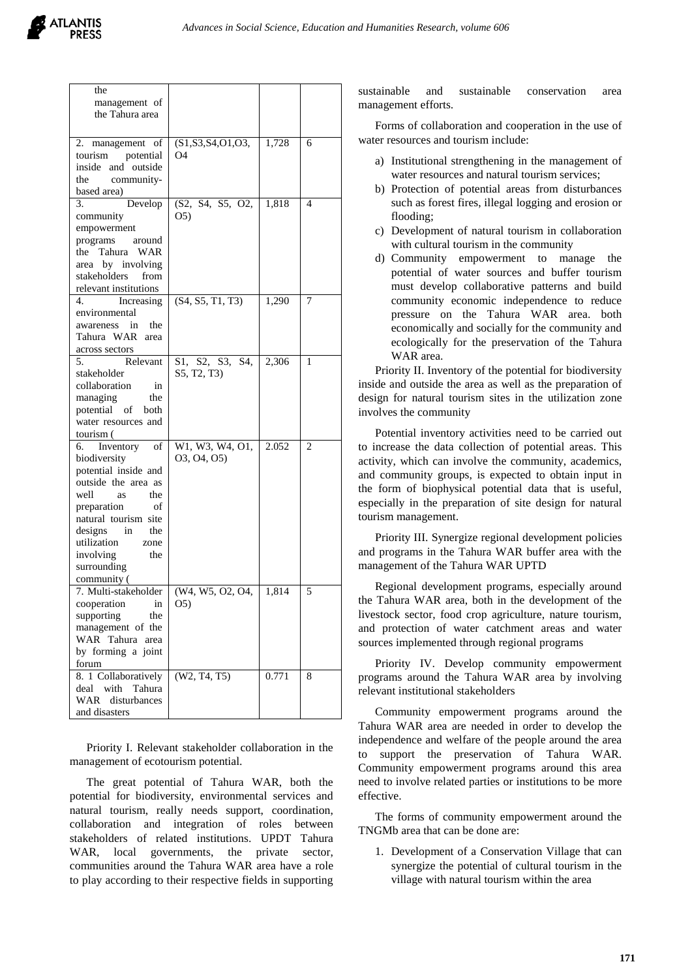| the<br>management of<br>the Tahura area                                                                                                                                                                                                                 |                                    |       |                |
|---------------------------------------------------------------------------------------------------------------------------------------------------------------------------------------------------------------------------------------------------------|------------------------------------|-------|----------------|
| 2.<br>management of<br>tourism<br>potential<br>inside and outside<br>the<br>community-<br>based area)                                                                                                                                                   | (S1, S3, S4, O1, O3,<br>O4         | 1,728 | 6              |
| 3.<br>Develop<br>community<br>empowerment<br>programs<br>around<br>the Tahura WAR<br>area by involving<br>stakeholders<br>from<br>relevant institutions                                                                                                 | (S2, S4, S5, O2,<br>O <sub>5</sub> | 1,818 | 4              |
| 4.<br>Increasing<br>environmental<br>in<br>the<br>awareness<br>Tahura WAR<br>area<br>across sectors                                                                                                                                                     | (S4, S5, T1, T3)                   | 1,290 | 7              |
| 5.<br>Relevant<br>stakeholder<br>collaboration<br>in<br>managing<br>the<br>potential of<br>both<br>water resources and<br>tourism (                                                                                                                     | S1, S2, S3,<br>S4.<br>S5, T2, T3)  | 2,306 | 1              |
| Inventory<br>of<br>6.<br>biodiversity<br>potential inside and<br>outside the area as<br>well<br>the<br>as<br>preparation<br>οf<br>natural tourism site<br>designs<br>the<br>in<br>utilization<br>zone<br>involving<br>the<br>surrounding<br>community ( | W1, W3, W4, O1,<br>03, 04, 05)     | 2.052 | $\overline{2}$ |
| 7. Multi-stakeholder<br>cooperation<br>in<br>supporting<br>the<br>management of the<br>WAR Tahura<br>area<br>by forming a joint<br>forum                                                                                                                | (W4, W5, O2, O4,<br>05)            | 1,814 | 5              |
| 8. 1 Collaboratively<br>with<br>deal<br>Tahura<br>WAR<br>disturbances<br>and disasters                                                                                                                                                                  | (W2, T4, T5)                       | 0.771 | 8              |

Priority I. Relevant stakeholder collaboration in the management of ecotourism potential.

The great potential of Tahura WAR, both the potential for biodiversity, environmental services and natural tourism, really needs support, coordination, collaboration and integration of roles between stakeholders of related institutions. UPDT Tahura WAR, local governments, the private sector, communities around the Tahura WAR area have a role to play according to their respective fields in supporting sustainable and sustainable conservation area management efforts.

Forms of collaboration and cooperation in the use of water resources and tourism include:

- a) Institutional strengthening in the management of water resources and natural tourism services;
- b) Protection of potential areas from disturbances such as forest fires, illegal logging and erosion or flooding;
- c) Development of natural tourism in collaboration with cultural tourism in the community
- d) Community empowerment to manage the potential of water sources and buffer tourism must develop collaborative patterns and build community economic independence to reduce pressure on the Tahura WAR area. both economically and socially for the community and ecologically for the preservation of the Tahura WAR area.

Priority II. Inventory of the potential for biodiversity inside and outside the area as well as the preparation of design for natural tourism sites in the utilization zone involves the community

Potential inventory activities need to be carried out to increase the data collection of potential areas. This activity, which can involve the community, academics, and community groups, is expected to obtain input in the form of biophysical potential data that is useful, especially in the preparation of site design for natural tourism management.

Priority III. Synergize regional development policies and programs in the Tahura WAR buffer area with the management of the Tahura WAR UPTD

Regional development programs, especially around the Tahura WAR area, both in the development of the livestock sector, food crop agriculture, nature tourism, and protection of water catchment areas and water sources implemented through regional programs

Priority IV. Develop community empowerment programs around the Tahura WAR area by involving relevant institutional stakeholders

Community empowerment programs around the Tahura WAR area are needed in order to develop the independence and welfare of the people around the area to support the preservation of Tahura WAR. Community empowerment programs around this area need to involve related parties or institutions to be more effective.

The forms of community empowerment around the TNGMb area that can be done are:

1. Development of a Conservation Village that can synergize the potential of cultural tourism in the village with natural tourism within the area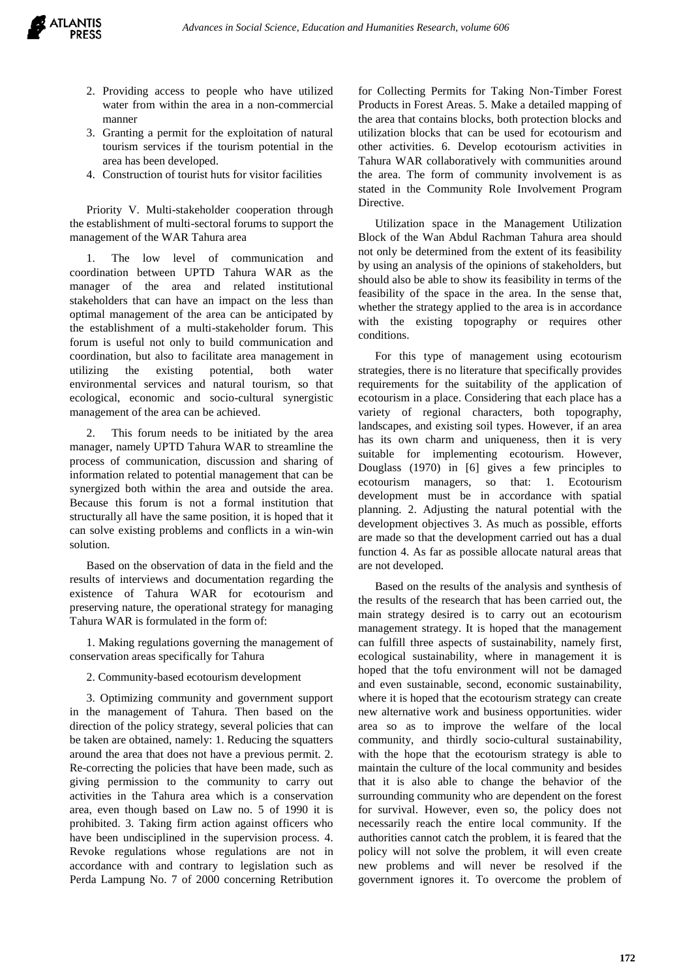- 2. Providing access to people who have utilized water from within the area in a non-commercial manner
- 3. Granting a permit for the exploitation of natural tourism services if the tourism potential in the area has been developed.
- 4. Construction of tourist huts for visitor facilities

Priority V. Multi-stakeholder cooperation through the establishment of multi-sectoral forums to support the management of the WAR Tahura area

The low level of communication and coordination between UPTD Tahura WAR as the manager of the area and related institutional stakeholders that can have an impact on the less than optimal management of the area can be anticipated by the establishment of a multi-stakeholder forum. This forum is useful not only to build communication and coordination, but also to facilitate area management in utilizing the existing potential, both water environmental services and natural tourism, so that ecological, economic and socio-cultural synergistic management of the area can be achieved.

2. This forum needs to be initiated by the area manager, namely UPTD Tahura WAR to streamline the process of communication, discussion and sharing of information related to potential management that can be synergized both within the area and outside the area. Because this forum is not a formal institution that structurally all have the same position, it is hoped that it can solve existing problems and conflicts in a win-win solution.

Based on the observation of data in the field and the results of interviews and documentation regarding the existence of Tahura WAR for ecotourism and preserving nature, the operational strategy for managing Tahura WAR is formulated in the form of:

1. Making regulations governing the management of conservation areas specifically for Tahura

#### 2. Community-based ecotourism development

3. Optimizing community and government support in the management of Tahura. Then based on the direction of the policy strategy, several policies that can be taken are obtained, namely: 1. Reducing the squatters around the area that does not have a previous permit. 2. Re-correcting the policies that have been made, such as giving permission to the community to carry out activities in the Tahura area which is a conservation area, even though based on Law no. 5 of 1990 it is prohibited. 3. Taking firm action against officers who have been undisciplined in the supervision process. 4. Revoke regulations whose regulations are not in accordance with and contrary to legislation such as Perda Lampung No. 7 of 2000 concerning Retribution for Collecting Permits for Taking Non-Timber Forest Products in Forest Areas. 5. Make a detailed mapping of the area that contains blocks, both protection blocks and utilization blocks that can be used for ecotourism and other activities. 6. Develop ecotourism activities in Tahura WAR collaboratively with communities around the area. The form of community involvement is as stated in the Community Role Involvement Program Directive.

Utilization space in the Management Utilization Block of the Wan Abdul Rachman Tahura area should not only be determined from the extent of its feasibility by using an analysis of the opinions of stakeholders, but should also be able to show its feasibility in terms of the feasibility of the space in the area. In the sense that, whether the strategy applied to the area is in accordance with the existing topography or requires other conditions.

For this type of management using ecotourism strategies, there is no literature that specifically provides requirements for the suitability of the application of ecotourism in a place. Considering that each place has a variety of regional characters, both topography, landscapes, and existing soil types. However, if an area has its own charm and uniqueness, then it is very suitable for implementing ecotourism. However, Douglass (1970) in [6] gives a few principles to ecotourism managers, so that: 1. Ecotourism development must be in accordance with spatial planning. 2. Adjusting the natural potential with the development objectives 3. As much as possible, efforts are made so that the development carried out has a dual function 4. As far as possible allocate natural areas that are not developed.

Based on the results of the analysis and synthesis of the results of the research that has been carried out, the main strategy desired is to carry out an ecotourism management strategy. It is hoped that the management can fulfill three aspects of sustainability, namely first, ecological sustainability, where in management it is hoped that the tofu environment will not be damaged and even sustainable, second, economic sustainability, where it is hoped that the ecotourism strategy can create new alternative work and business opportunities. wider area so as to improve the welfare of the local community, and thirdly socio-cultural sustainability, with the hope that the ecotourism strategy is able to maintain the culture of the local community and besides that it is also able to change the behavior of the surrounding community who are dependent on the forest for survival. However, even so, the policy does not necessarily reach the entire local community. If the authorities cannot catch the problem, it is feared that the policy will not solve the problem, it will even create new problems and will never be resolved if the government ignores it. To overcome the problem of